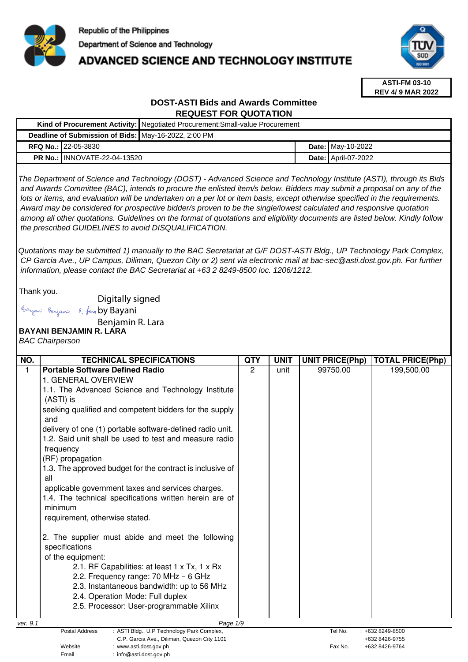

Email : info@asti.dost.gov.ph

**Kind of Procurement Activity:** Negotiated Procurement:Small-value Procurement

## ADVANCED SCIENCE AND TECHNOLOGY INSTITUTE



**ASTI-FM 03-10 REV 4/ 9 MAR 2022**

## **DOST-ASTI Bids and Awards Committee REQUEST FOR QUOTATION**

| Deadline of Submission of Bids:   May-16-2022, 2:00 PM |                                                                                                                                                                                                                                                                                                                                                                                                                                                                                                                                                                                                                                                                                                                                                                                                                    |                |             |  |                        |                                    |
|--------------------------------------------------------|--------------------------------------------------------------------------------------------------------------------------------------------------------------------------------------------------------------------------------------------------------------------------------------------------------------------------------------------------------------------------------------------------------------------------------------------------------------------------------------------------------------------------------------------------------------------------------------------------------------------------------------------------------------------------------------------------------------------------------------------------------------------------------------------------------------------|----------------|-------------|--|------------------------|------------------------------------|
|                                                        | RFQ No.: 22-05-3830                                                                                                                                                                                                                                                                                                                                                                                                                                                                                                                                                                                                                                                                                                                                                                                                |                |             |  | Date: May-10-2022      |                                    |
|                                                        | <b>PR No.: INNOVATE-22-04-13520</b>                                                                                                                                                                                                                                                                                                                                                                                                                                                                                                                                                                                                                                                                                                                                                                                |                |             |  | Date: April-07-2022    |                                    |
|                                                        | The Department of Science and Technology (DOST) - Advanced Science and Technology Institute (ASTI), through its Bids<br>and Awards Committee (BAC), intends to procure the enlisted item/s below. Bidders may submit a proposal on any of the<br>lots or items, and evaluation will be undertaken on a per lot or item basis, except otherwise specified in the requirements.<br>Award may be considered for prospective bidder/s proven to be the single/lowest calculated and responsive quotation<br>among all other quotations. Guidelines on the format of quotations and eligibility documents are listed below. Kindly follow<br>the prescribed GUIDELINES to avoid DISQUALIFICATION.<br>Quotations may be submitted 1) manually to the BAC Secretariat at G/F DOST-ASTI Bldg., UP Technology Park Complex, |                |             |  |                        |                                    |
|                                                        | CP Garcia Ave., UP Campus, Diliman, Quezon City or 2) sent via electronic mail at bac-sec@asti.dost.gov.ph. For further<br>information, please contact the BAC Secretariat at +63 2 8249-8500 loc. 1206/1212.                                                                                                                                                                                                                                                                                                                                                                                                                                                                                                                                                                                                      |                |             |  |                        |                                    |
| Thank you.                                             | Digitally signed                                                                                                                                                                                                                                                                                                                                                                                                                                                                                                                                                                                                                                                                                                                                                                                                   |                |             |  |                        |                                    |
|                                                        | Bayani Benjamin R. fara by Bayani                                                                                                                                                                                                                                                                                                                                                                                                                                                                                                                                                                                                                                                                                                                                                                                  |                |             |  |                        |                                    |
|                                                        | Benjamin R. Lara                                                                                                                                                                                                                                                                                                                                                                                                                                                                                                                                                                                                                                                                                                                                                                                                   |                |             |  |                        |                                    |
|                                                        | <b>BAYANI BENJAMIN R. LÁRA</b>                                                                                                                                                                                                                                                                                                                                                                                                                                                                                                                                                                                                                                                                                                                                                                                     |                |             |  |                        |                                    |
|                                                        | <b>BAC Chairperson</b>                                                                                                                                                                                                                                                                                                                                                                                                                                                                                                                                                                                                                                                                                                                                                                                             |                |             |  |                        |                                    |
|                                                        |                                                                                                                                                                                                                                                                                                                                                                                                                                                                                                                                                                                                                                                                                                                                                                                                                    |                |             |  |                        |                                    |
| NO.                                                    | <b>TECHNICAL SPECIFICATIONS</b>                                                                                                                                                                                                                                                                                                                                                                                                                                                                                                                                                                                                                                                                                                                                                                                    | <b>QTY</b>     | <b>UNIT</b> |  | <b>UNIT PRICE(Php)</b> | <b>TOTAL PRICE(Php)</b>            |
| $\mathbf{1}$                                           | <b>Portable Software Defined Radio</b><br>1. GENERAL OVERVIEW                                                                                                                                                                                                                                                                                                                                                                                                                                                                                                                                                                                                                                                                                                                                                      | $\overline{2}$ | unit        |  | 99750.00               | 199,500.00                         |
|                                                        | 1.1. The Advanced Science and Technology Institute                                                                                                                                                                                                                                                                                                                                                                                                                                                                                                                                                                                                                                                                                                                                                                 |                |             |  |                        |                                    |
|                                                        | (ASTI) is                                                                                                                                                                                                                                                                                                                                                                                                                                                                                                                                                                                                                                                                                                                                                                                                          |                |             |  |                        |                                    |
|                                                        | seeking qualified and competent bidders for the supply<br>and                                                                                                                                                                                                                                                                                                                                                                                                                                                                                                                                                                                                                                                                                                                                                      |                |             |  |                        |                                    |
|                                                        | delivery of one (1) portable software-defined radio unit.                                                                                                                                                                                                                                                                                                                                                                                                                                                                                                                                                                                                                                                                                                                                                          |                |             |  |                        |                                    |
|                                                        | 1.2. Said unit shall be used to test and measure radio                                                                                                                                                                                                                                                                                                                                                                                                                                                                                                                                                                                                                                                                                                                                                             |                |             |  |                        |                                    |
|                                                        | frequency                                                                                                                                                                                                                                                                                                                                                                                                                                                                                                                                                                                                                                                                                                                                                                                                          |                |             |  |                        |                                    |
|                                                        | (RF) propagation                                                                                                                                                                                                                                                                                                                                                                                                                                                                                                                                                                                                                                                                                                                                                                                                   |                |             |  |                        |                                    |
|                                                        | 1.3. The approved budget for the contract is inclusive of                                                                                                                                                                                                                                                                                                                                                                                                                                                                                                                                                                                                                                                                                                                                                          |                |             |  |                        |                                    |
|                                                        | all                                                                                                                                                                                                                                                                                                                                                                                                                                                                                                                                                                                                                                                                                                                                                                                                                |                |             |  |                        |                                    |
|                                                        | applicable government taxes and services charges.                                                                                                                                                                                                                                                                                                                                                                                                                                                                                                                                                                                                                                                                                                                                                                  |                |             |  |                        |                                    |
|                                                        | 1.4. The technical specifications written herein are of                                                                                                                                                                                                                                                                                                                                                                                                                                                                                                                                                                                                                                                                                                                                                            |                |             |  |                        |                                    |
|                                                        | minimum<br>requirement, otherwise stated.                                                                                                                                                                                                                                                                                                                                                                                                                                                                                                                                                                                                                                                                                                                                                                          |                |             |  |                        |                                    |
|                                                        |                                                                                                                                                                                                                                                                                                                                                                                                                                                                                                                                                                                                                                                                                                                                                                                                                    |                |             |  |                        |                                    |
|                                                        | 2. The supplier must abide and meet the following<br>specifications                                                                                                                                                                                                                                                                                                                                                                                                                                                                                                                                                                                                                                                                                                                                                |                |             |  |                        |                                    |
|                                                        | of the equipment:                                                                                                                                                                                                                                                                                                                                                                                                                                                                                                                                                                                                                                                                                                                                                                                                  |                |             |  |                        |                                    |
|                                                        | 2.1. RF Capabilities: at least 1 x Tx, 1 x Rx                                                                                                                                                                                                                                                                                                                                                                                                                                                                                                                                                                                                                                                                                                                                                                      |                |             |  |                        |                                    |
|                                                        | 2.2. Frequency range: 70 MHz - 6 GHz                                                                                                                                                                                                                                                                                                                                                                                                                                                                                                                                                                                                                                                                                                                                                                               |                |             |  |                        |                                    |
|                                                        | 2.3. Instantaneous bandwidth: up to 56 MHz                                                                                                                                                                                                                                                                                                                                                                                                                                                                                                                                                                                                                                                                                                                                                                         |                |             |  |                        |                                    |
|                                                        | 2.4. Operation Mode: Full duplex                                                                                                                                                                                                                                                                                                                                                                                                                                                                                                                                                                                                                                                                                                                                                                                   |                |             |  |                        |                                    |
|                                                        | 2.5. Processor: User-programmable Xilinx                                                                                                                                                                                                                                                                                                                                                                                                                                                                                                                                                                                                                                                                                                                                                                           |                |             |  |                        |                                    |
| ver. 9.1                                               | Page 1/9                                                                                                                                                                                                                                                                                                                                                                                                                                                                                                                                                                                                                                                                                                                                                                                                           |                |             |  |                        |                                    |
|                                                        | Postal Address<br>: ASTI Bldg., U.P Technology Park Complex,                                                                                                                                                                                                                                                                                                                                                                                                                                                                                                                                                                                                                                                                                                                                                       |                |             |  | Tel No.                | : +632 8249-8500                   |
|                                                        | C.P. Garcia Ave., Diliman, Quezon City 1101<br>Website<br>: www.asti.dost.gov.ph                                                                                                                                                                                                                                                                                                                                                                                                                                                                                                                                                                                                                                                                                                                                   |                |             |  | Fax No.                | +632 8426-9755<br>: +632 8426-9764 |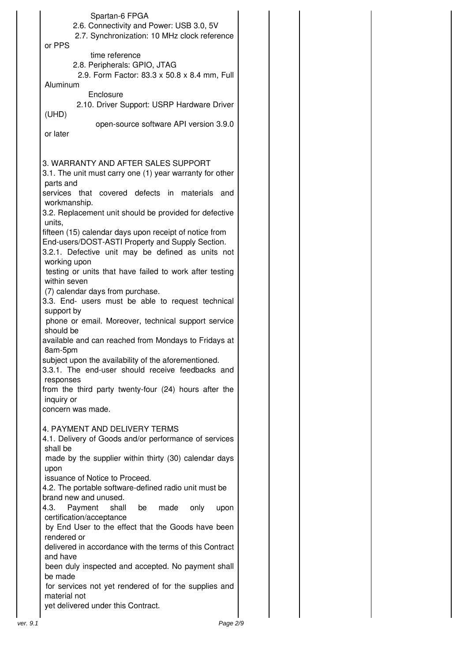| Spartan-6 FPGA                                           |          |
|----------------------------------------------------------|----------|
| 2.6. Connectivity and Power: USB 3.0, 5V                 |          |
| 2.7. Synchronization: 10 MHz clock reference             |          |
| or PPS                                                   |          |
| time reference                                           |          |
| 2.8. Peripherals: GPIO, JTAG                             |          |
| 2.9. Form Factor: 83.3 x 50.8 x 8.4 mm, Full             |          |
| Aluminum                                                 |          |
| Enclosure                                                |          |
| 2.10. Driver Support: USRP Hardware Driver               |          |
| (UHD)                                                    |          |
| open-source software API version 3.9.0                   |          |
| or later                                                 |          |
|                                                          |          |
|                                                          |          |
| 3. WARRANTY AND AFTER SALES SUPPORT                      |          |
| 3.1. The unit must carry one (1) year warranty for other |          |
| parts and                                                |          |
| services that covered defects in materials and           |          |
| workmanship.                                             |          |
| 3.2. Replacement unit should be provided for defective   |          |
| units,                                                   |          |
| fifteen (15) calendar days upon receipt of notice from   |          |
| End-users/DOST-ASTI Property and Supply Section.         |          |
| 3.2.1. Defective unit may be defined as units not        |          |
| working upon                                             |          |
| testing or units that have failed to work after testing  |          |
| within seven                                             |          |
| (7) calendar days from purchase.                         |          |
| 3.3. End- users must be able to request technical        |          |
| support by                                               |          |
|                                                          |          |
| phone or email. Moreover, technical support service      |          |
| should be                                                |          |
| available and can reached from Mondays to Fridays at     |          |
| 8am-5pm                                                  |          |
| subject upon the availability of the aforementioned.     |          |
| 3.3.1. The end-user should receive feedbacks and         |          |
| responses                                                |          |
| from the third party twenty-four (24) hours after the    |          |
| inquiry or                                               |          |
| concern was made.                                        |          |
|                                                          |          |
| 4. PAYMENT AND DELIVERY TERMS                            |          |
| 4.1. Delivery of Goods and/or performance of services    |          |
| shall be                                                 |          |
| made by the supplier within thirty (30) calendar days    |          |
| upon                                                     |          |
| issuance of Notice to Proceed.                           |          |
| 4.2. The portable software-defined radio unit must be    |          |
| brand new and unused.                                    |          |
| Payment<br>shall<br>made<br>4.3.<br>be<br>only           | upon     |
| certification/acceptance                                 |          |
| by End User to the effect that the Goods have been       |          |
| rendered or                                              |          |
| delivered in accordance with the terms of this Contract  |          |
| and have                                                 |          |
| been duly inspected and accepted. No payment shall       |          |
| be made                                                  |          |
| for services not yet rendered of for the supplies and    |          |
| material not                                             |          |
| yet delivered under this Contract.                       |          |
| ver. 9.1                                                 | Page 2/9 |
|                                                          |          |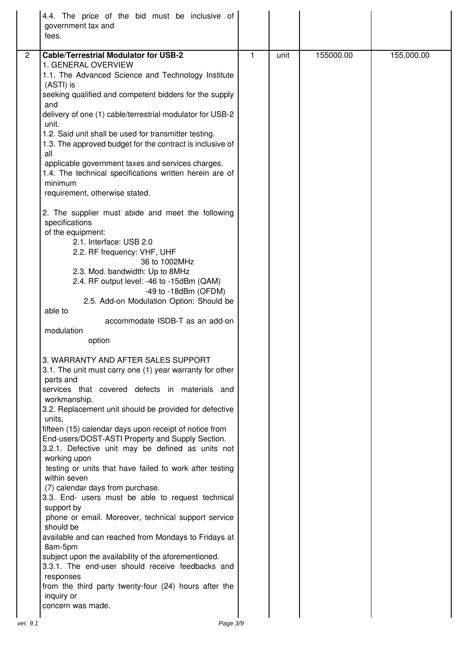| 4.4. The price of the bid must be inclusive of<br>government tax and<br>fees.                                                                                                                                                                                                                                                                                                                                                                                                                                                                                                                                                                                                                                                                                                                                                                                                                                                                                                       |   |      |           |            |
|-------------------------------------------------------------------------------------------------------------------------------------------------------------------------------------------------------------------------------------------------------------------------------------------------------------------------------------------------------------------------------------------------------------------------------------------------------------------------------------------------------------------------------------------------------------------------------------------------------------------------------------------------------------------------------------------------------------------------------------------------------------------------------------------------------------------------------------------------------------------------------------------------------------------------------------------------------------------------------------|---|------|-----------|------------|
| <b>Cable/Terrestrial Modulator for USB-2</b><br>$\overline{2}$<br>1. GENERAL OVERVIEW<br>1.1. The Advanced Science and Technology Institute<br>(ASTI) is<br>seeking qualified and competent bidders for the supply<br>and<br>delivery of one (1) cable/terrestrial modulator for USB-2<br>unit.<br>1.2. Said unit shall be used for transmitter testing.<br>1.3. The approved budget for the contract is inclusive of<br>all<br>applicable government taxes and services charges.<br>1.4. The technical specifications written herein are of<br>minimum<br>requirement, otherwise stated.<br>2. The supplier must abide and meet the following<br>specifications<br>of the equipment:<br>2.1. Interface: USB 2.0<br>2.2. RF frequency: VHF, UHF<br>36 to 1002MHz<br>2.3. Mod. bandwidth: Up to 8MHz<br>2.4. RF output level: -46 to -15dBm (QAM)<br>-49 to $-18$ dBm (OFDM)<br>2.5. Add-on Modulation Option: Should be<br>able to                                                  | 1 | unit | 155000.00 | 155,000.00 |
| accommodate ISDB-T as an add-on<br>modulation<br>option                                                                                                                                                                                                                                                                                                                                                                                                                                                                                                                                                                                                                                                                                                                                                                                                                                                                                                                             |   |      |           |            |
| 3. WARRANTY AND AFTER SALES SUPPORT<br>3.1. The unit must carry one (1) year warranty for other<br>parts and<br>services that covered defects in materials and<br>workmanship.<br>3.2. Replacement unit should be provided for defective<br>units,<br>fifteen (15) calendar days upon receipt of notice from<br>End-users/DOST-ASTI Property and Supply Section.<br>3.2.1. Defective unit may be defined as units not<br>working upon<br>testing or units that have failed to work after testing<br>within seven<br>(7) calendar days from purchase.<br>3.3. End- users must be able to request technical<br>support by<br>phone or email. Moreover, technical support service<br>should be<br>available and can reached from Mondays to Fridays at<br>8am-5pm<br>subject upon the availability of the aforementioned.<br>3.3.1. The end-user should receive feedbacks and<br>responses<br>from the third party twenty-four (24) hours after the<br>inquiry or<br>concern was made. |   |      |           |            |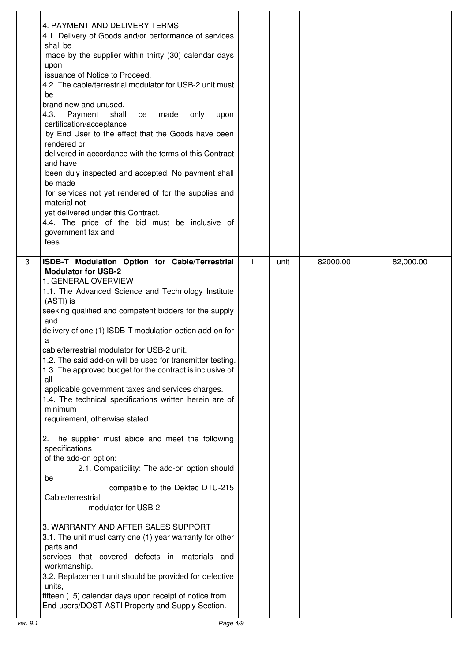| 4. PAYMENT AND DELIVERY TERMS<br>4.1. Delivery of Goods and/or performance of services<br>shall be<br>made by the supplier within thirty (30) calendar days<br>upon<br>issuance of Notice to Proceed.<br>4.2. The cable/terrestrial modulator for USB-2 unit must<br>be<br>brand new and unused.<br>4.3.<br>Payment<br>shall<br>be<br>made<br>only<br>upon<br>certification/acceptance<br>by End User to the effect that the Goods have been<br>rendered or<br>delivered in accordance with the terms of this Contract<br>and have<br>been duly inspected and accepted. No payment shall<br>be made<br>for services not yet rendered of for the supplies and<br>material not<br>yet delivered under this Contract.<br>4.4. The price of the bid must be inclusive of<br>government tax and<br>fees.                                                                                                                                                                                                                                                                                                                                                                                                                                                                  |   |      |          |           |
|----------------------------------------------------------------------------------------------------------------------------------------------------------------------------------------------------------------------------------------------------------------------------------------------------------------------------------------------------------------------------------------------------------------------------------------------------------------------------------------------------------------------------------------------------------------------------------------------------------------------------------------------------------------------------------------------------------------------------------------------------------------------------------------------------------------------------------------------------------------------------------------------------------------------------------------------------------------------------------------------------------------------------------------------------------------------------------------------------------------------------------------------------------------------------------------------------------------------------------------------------------------------|---|------|----------|-----------|
| 3<br>ISDB-T Modulation Option for Cable/Terrestrial<br><b>Modulator for USB-2</b><br>1. GENERAL OVERVIEW<br>1.1. The Advanced Science and Technology Institute<br>(ASTI) is<br>seeking qualified and competent bidders for the supply<br>and<br>delivery of one (1) ISDB-T modulation option add-on for<br>a<br>cable/terrestrial modulator for USB-2 unit.<br>1.2. The said add-on will be used for transmitter testing.<br>1.3. The approved budget for the contract is inclusive of<br>all<br>applicable government taxes and services charges.<br>1.4. The technical specifications written herein are of<br>minimum<br>requirement, otherwise stated.<br>2. The supplier must abide and meet the following<br>specifications<br>of the add-on option:<br>2.1. Compatibility: The add-on option should<br>be<br>compatible to the Dektec DTU-215<br>Cable/terrestrial<br>modulator for USB-2<br>3. WARRANTY AND AFTER SALES SUPPORT<br>3.1. The unit must carry one (1) year warranty for other<br>parts and<br>services that covered defects in materials and<br>workmanship.<br>3.2. Replacement unit should be provided for defective<br>units,<br>fifteen (15) calendar days upon receipt of notice from<br>End-users/DOST-ASTI Property and Supply Section. | 1 | unit | 82000.00 | 82,000.00 |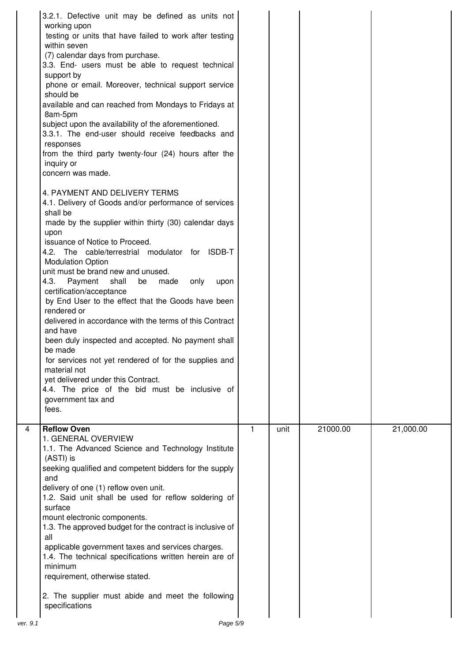| 3.2.1. Defective unit may be defined as units not<br>working upon<br>testing or units that have failed to work after testing<br>within seven<br>(7) calendar days from purchase.<br>3.3. End- users must be able to request technical<br>support by<br>phone or email. Moreover, technical support service<br>should be<br>available and can reached from Mondays to Fridays at<br>8am-5pm<br>subject upon the availability of the aforementioned.<br>3.3.1. The end-user should receive feedbacks and<br>responses<br>from the third party twenty-four (24) hours after the<br>inquiry or<br>concern was made.<br>4. PAYMENT AND DELIVERY TERMS<br>4.1. Delivery of Goods and/or performance of services<br>shall be<br>made by the supplier within thirty (30) calendar days<br>upon<br>issuance of Notice to Proceed.<br>4.2. The cable/terrestrial modulator for ISDB-T<br><b>Modulation Option</b><br>unit must be brand new and unused.<br>Payment<br>4.3.<br>shall<br>only<br>made<br>be<br>upon<br>certification/acceptance<br>by End User to the effect that the Goods have been<br>rendered or<br>delivered in accordance with the terms of this Contract<br>and have<br>been duly inspected and accepted. No payment shall<br>be made<br>for services not yet rendered of for the supplies and<br>material not<br>yet delivered under this Contract.<br>4.4. The price of the bid must be inclusive of<br>government tax and<br>fees. |              |      |          |           |
|--------------------------------------------------------------------------------------------------------------------------------------------------------------------------------------------------------------------------------------------------------------------------------------------------------------------------------------------------------------------------------------------------------------------------------------------------------------------------------------------------------------------------------------------------------------------------------------------------------------------------------------------------------------------------------------------------------------------------------------------------------------------------------------------------------------------------------------------------------------------------------------------------------------------------------------------------------------------------------------------------------------------------------------------------------------------------------------------------------------------------------------------------------------------------------------------------------------------------------------------------------------------------------------------------------------------------------------------------------------------------------------------------------------------------------------------------|--------------|------|----------|-----------|
| $\overline{4}$<br><b>Reflow Oven</b><br>1. GENERAL OVERVIEW<br>1.1. The Advanced Science and Technology Institute<br>(ASTI) is<br>seeking qualified and competent bidders for the supply<br>and<br>delivery of one (1) reflow oven unit.<br>1.2. Said unit shall be used for reflow soldering of<br>surface<br>mount electronic components.<br>1.3. The approved budget for the contract is inclusive of<br>all<br>applicable government taxes and services charges.<br>1.4. The technical specifications written herein are of<br>minimum<br>requirement, otherwise stated.<br>2. The supplier must abide and meet the following<br>specifications                                                                                                                                                                                                                                                                                                                                                                                                                                                                                                                                                                                                                                                                                                                                                                                              | $\mathbf{1}$ | unit | 21000.00 | 21,000.00 |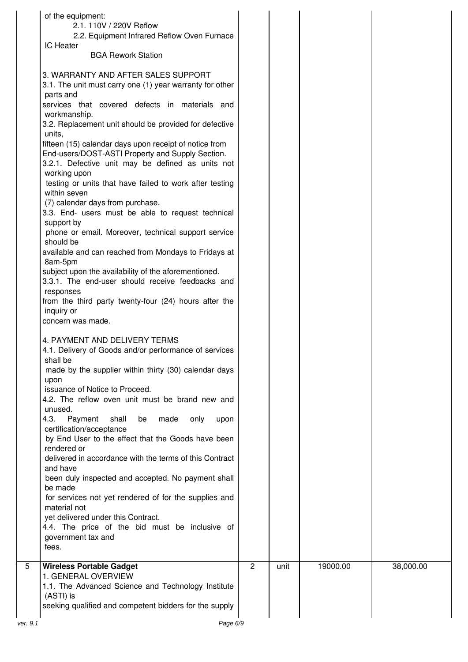| of the equipment:<br>2.1. 110V / 220V Reflow                                                                                                                                                                                                                                                                                                                                                                                                                                                                                                                                                                                                                                                                                                                                     |                |      |          |           |
|----------------------------------------------------------------------------------------------------------------------------------------------------------------------------------------------------------------------------------------------------------------------------------------------------------------------------------------------------------------------------------------------------------------------------------------------------------------------------------------------------------------------------------------------------------------------------------------------------------------------------------------------------------------------------------------------------------------------------------------------------------------------------------|----------------|------|----------|-----------|
| 2.2. Equipment Infrared Reflow Oven Furnace<br><b>IC Heater</b>                                                                                                                                                                                                                                                                                                                                                                                                                                                                                                                                                                                                                                                                                                                  |                |      |          |           |
| <b>BGA Rework Station</b><br>3. WARRANTY AND AFTER SALES SUPPORT<br>3.1. The unit must carry one (1) year warranty for other<br>parts and<br>services that covered defects in materials and<br>workmanship.<br>3.2. Replacement unit should be provided for defective<br>units,<br>fifteen (15) calendar days upon receipt of notice from<br>End-users/DOST-ASTI Property and Supply Section.<br>3.2.1. Defective unit may be defined as units not<br>working upon<br>testing or units that have failed to work after testing<br>within seven<br>(7) calendar days from purchase.<br>3.3. End- users must be able to request technical<br>support by<br>phone or email. Moreover, technical support service<br>should be<br>available and can reached from Mondays to Fridays at |                |      |          |           |
| 8am-5pm<br>subject upon the availability of the aforementioned.<br>3.3.1. The end-user should receive feedbacks and<br>responses                                                                                                                                                                                                                                                                                                                                                                                                                                                                                                                                                                                                                                                 |                |      |          |           |
| from the third party twenty-four (24) hours after the<br>inquiry or<br>concern was made.                                                                                                                                                                                                                                                                                                                                                                                                                                                                                                                                                                                                                                                                                         |                |      |          |           |
| 4. PAYMENT AND DELIVERY TERMS<br>4.1. Delivery of Goods and/or performance of services<br>shall be<br>made by the supplier within thirty (30) calendar days<br>upon<br>issuance of Notice to Proceed.                                                                                                                                                                                                                                                                                                                                                                                                                                                                                                                                                                            |                |      |          |           |
| 4.2. The reflow oven unit must be brand new and<br>unused.<br>Payment<br>shall<br>4.3.<br>be<br>made<br>only<br>upon<br>certification/acceptance<br>by End User to the effect that the Goods have been<br>rendered or                                                                                                                                                                                                                                                                                                                                                                                                                                                                                                                                                            |                |      |          |           |
| delivered in accordance with the terms of this Contract<br>and have<br>been duly inspected and accepted. No payment shall<br>be made<br>for services not yet rendered of for the supplies and<br>material not                                                                                                                                                                                                                                                                                                                                                                                                                                                                                                                                                                    |                |      |          |           |
| yet delivered under this Contract.<br>4.4. The price of the bid must be inclusive of<br>government tax and<br>fees.                                                                                                                                                                                                                                                                                                                                                                                                                                                                                                                                                                                                                                                              |                |      |          |           |
| <b>Wireless Portable Gadget</b><br>5<br>1. GENERAL OVERVIEW<br>1.1. The Advanced Science and Technology Institute<br>(ASTI) is<br>seeking qualified and competent bidders for the supply                                                                                                                                                                                                                                                                                                                                                                                                                                                                                                                                                                                         | $\overline{2}$ | unit | 19000.00 | 38,000.00 |
| ver. 9.1                                                                                                                                                                                                                                                                                                                                                                                                                                                                                                                                                                                                                                                                                                                                                                         | Page 6/9       |      |          |           |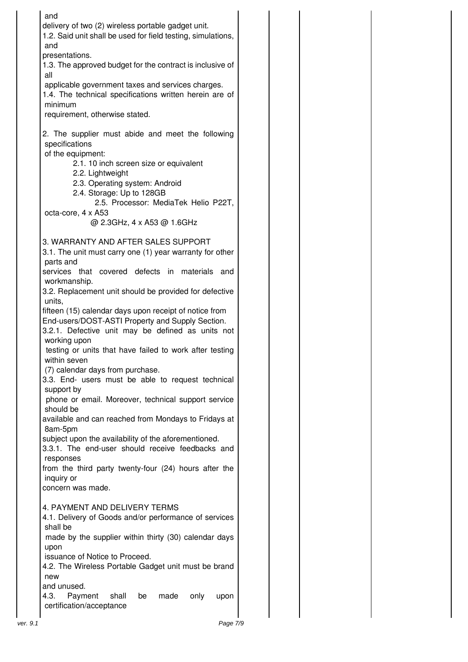| and                                                                                                        |  |  |
|------------------------------------------------------------------------------------------------------------|--|--|
| delivery of two (2) wireless portable gadget unit.                                                         |  |  |
| 1.2. Said unit shall be used for field testing, simulations,<br>and                                        |  |  |
| presentations.                                                                                             |  |  |
| 1.3. The approved budget for the contract is inclusive of                                                  |  |  |
| all                                                                                                        |  |  |
| applicable government taxes and services charges.                                                          |  |  |
| 1.4. The technical specifications written herein are of<br>minimum                                         |  |  |
| requirement, otherwise stated.                                                                             |  |  |
|                                                                                                            |  |  |
| 2. The supplier must abide and meet the following                                                          |  |  |
| specifications                                                                                             |  |  |
| of the equipment:<br>2.1. 10 inch screen size or equivalent                                                |  |  |
| 2.2. Lightweight                                                                                           |  |  |
| 2.3. Operating system: Android                                                                             |  |  |
| 2.4. Storage: Up to 128GB                                                                                  |  |  |
| 2.5. Processor: MediaTek Helio P22T,<br>octa-core, 4 x A53                                                 |  |  |
| @ 2.3GHz, 4 x A53 @ 1.6GHz                                                                                 |  |  |
|                                                                                                            |  |  |
| 3. WARRANTY AND AFTER SALES SUPPORT                                                                        |  |  |
| 3.1. The unit must carry one (1) year warranty for other                                                   |  |  |
| parts and<br>services that covered defects in materials and                                                |  |  |
| workmanship.                                                                                               |  |  |
| 3.2. Replacement unit should be provided for defective                                                     |  |  |
| units,                                                                                                     |  |  |
| fifteen (15) calendar days upon receipt of notice from<br>End-users/DOST-ASTI Property and Supply Section. |  |  |
| 3.2.1. Defective unit may be defined as units not                                                          |  |  |
| working upon                                                                                               |  |  |
| testing or units that have failed to work after testing                                                    |  |  |
| within seven                                                                                               |  |  |
| (7) calendar days from purchase.<br>3.3. End- users must be able to request technical                      |  |  |
| support by                                                                                                 |  |  |
| phone or email. Moreover, technical support service                                                        |  |  |
| should be                                                                                                  |  |  |
| available and can reached from Mondays to Fridays at<br>8am-5pm                                            |  |  |
| subject upon the availability of the aforementioned.                                                       |  |  |
| 3.3.1. The end-user should receive feedbacks and                                                           |  |  |
| responses                                                                                                  |  |  |
| from the third party twenty-four (24) hours after the                                                      |  |  |
| inquiry or<br>concern was made.                                                                            |  |  |
|                                                                                                            |  |  |
| 4. PAYMENT AND DELIVERY TERMS                                                                              |  |  |
| 4.1. Delivery of Goods and/or performance of services                                                      |  |  |
| shall be<br>made by the supplier within thirty (30) calendar days                                          |  |  |
| upon                                                                                                       |  |  |
| issuance of Notice to Proceed.                                                                             |  |  |
| 4.2. The Wireless Portable Gadget unit must be brand                                                       |  |  |
| new                                                                                                        |  |  |
| and unused.<br>4.3.<br>Payment<br>shall<br>made<br>only<br>upon<br>be                                      |  |  |
| certification/acceptance                                                                                   |  |  |
|                                                                                                            |  |  |
| Page 7/9<br>ver. 9.1                                                                                       |  |  |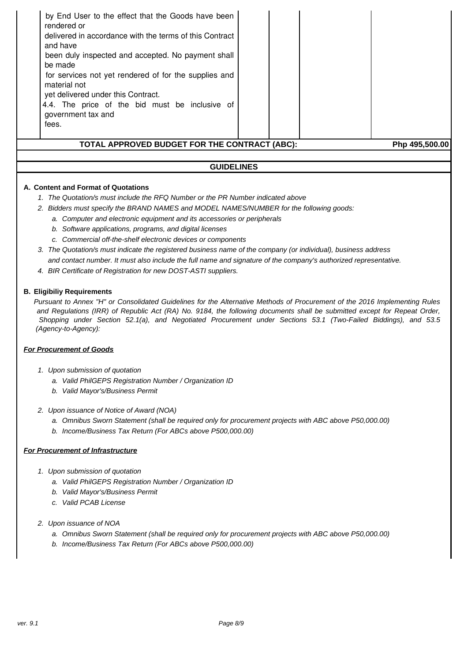

- a. Omnibus Sworn Statement (shall be required only for procurement projects with ABC above P50,000.00)
- b. Income/Business Tax Return (For ABCs above P500,000.00)

## **For Procurement of Infrastructure**

- 1. Upon submission of quotation
	- a. Valid PhilGEPS Registration Number / Organization ID
	- b. Valid Mayor's/Business Permit
	- c. Valid PCAB License
- 2. Upon issuance of NOA
	- a. Omnibus Sworn Statement (shall be required only for procurement projects with ABC above P50,000.00)
	- b. Income/Business Tax Return (For ABCs above P500,000.00)